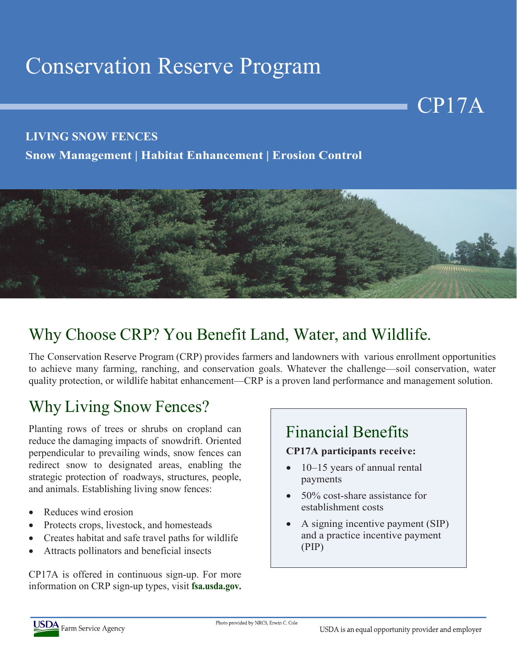# Conservation Reserve Program

#### **LIVING SNOW FENCES**

**Snow Management | Habitat Enhancement | Erosion Control**



### Why Choose CRP? You Benefit Land, Water, and Wildlife.

The Conservation Reserve Program (CRP) provides farmers and landowners with various enrollment opportunities to achieve many farming, ranching, and conservation goals. Whatever the challenge—soil conservation, water quality protection, or wildlife habitat enhancement—CRP is a proven land performance and management solution.

### Why Living Snow Fences?

Planting rows of trees or shrubs on cropland can reduce the damaging impacts of snowdrift. Oriented perpendicular to prevailing winds, snow fences can redirect snow to designated areas, enabling the strategic protection of roadways, structures, people, and animals. Establishing living snow fences:

- Reduces wind erosion
- Protects crops, livestock, and homesteads
- Creates habitat and safe travel paths for wildlife
- Attracts pollinators and beneficial insects

CP17A is offered in continuous sign-up. For more information on CRP sign-up types, visit **fsa.usda.gov.**

### Financial Benefits

#### **CP17A participants receive:**

- 10–15 years of annual rental payments
- 50% cost-share assistance for establishment costs
- A signing incentive payment (SIP) and a practice incentive payment (PIP)



CP17A